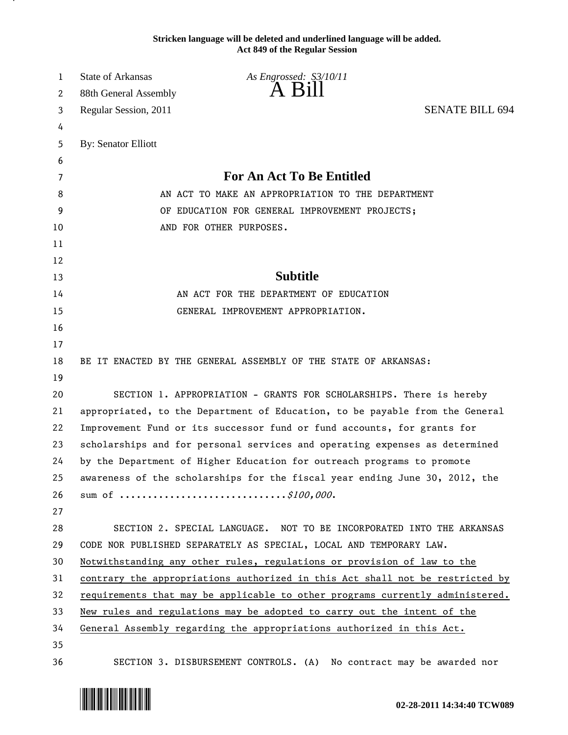**Stricken language will be deleted and underlined language will be added. Act 849 of the Regular Session**

| 1  | <b>State of Arkansas</b>   | As Engrossed: S3/10/11                                                        |                        |
|----|----------------------------|-------------------------------------------------------------------------------|------------------------|
| 2  | 88th General Assembly      | A Bill                                                                        |                        |
| 3  | Regular Session, 2011      |                                                                               | <b>SENATE BILL 694</b> |
| 4  |                            |                                                                               |                        |
| 5  | <b>By: Senator Elliott</b> |                                                                               |                        |
| 6  |                            |                                                                               |                        |
| 7  |                            | <b>For An Act To Be Entitled</b>                                              |                        |
| 8  |                            | AN ACT TO MAKE AN APPROPRIATION TO THE DEPARTMENT                             |                        |
| 9  |                            | OF EDUCATION FOR GENERAL IMPROVEMENT PROJECTS;                                |                        |
| 10 |                            | AND FOR OTHER PURPOSES.                                                       |                        |
| 11 |                            |                                                                               |                        |
| 12 |                            |                                                                               |                        |
| 13 |                            | <b>Subtitle</b>                                                               |                        |
| 14 |                            | AN ACT FOR THE DEPARTMENT OF EDUCATION                                        |                        |
| 15 |                            | GENERAL IMPROVEMENT APPROPRIATION.                                            |                        |
| 16 |                            |                                                                               |                        |
| 17 |                            |                                                                               |                        |
| 18 |                            | BE IT ENACTED BY THE GENERAL ASSEMBLY OF THE STATE OF ARKANSAS:               |                        |
| 19 |                            |                                                                               |                        |
| 20 |                            | SECTION 1. APPROPRIATION - GRANTS FOR SCHOLARSHIPS. There is hereby           |                        |
| 21 |                            | appropriated, to the Department of Education, to be payable from the General  |                        |
| 22 |                            | Improvement Fund or its successor fund or fund accounts, for grants for       |                        |
| 23 |                            | scholarships and for personal services and operating expenses as determined   |                        |
| 24 |                            | by the Department of Higher Education for outreach programs to promote        |                        |
| 25 |                            | awareness of the scholarships for the fiscal year ending June 30, 2012, the   |                        |
| 26 |                            |                                                                               |                        |
| 27 |                            |                                                                               |                        |
| 28 |                            | SECTION 2. SPECIAL LANGUAGE. NOT TO BE INCORPORATED INTO THE ARKANSAS         |                        |
| 29 |                            | CODE NOR PUBLISHED SEPARATELY AS SPECIAL, LOCAL AND TEMPORARY LAW.            |                        |
| 30 |                            | Notwithstanding any other rules, regulations or provision of law to the       |                        |
| 31 |                            | contrary the appropriations authorized in this Act shall not be restricted by |                        |
| 32 |                            | requirements that may be applicable to other programs currently administered. |                        |
| 33 |                            | New rules and regulations may be adopted to carry out the intent of the       |                        |
| 34 |                            | General Assembly regarding the appropriations authorized in this Act.         |                        |
| 35 |                            |                                                                               |                        |
| 36 |                            | SECTION 3. DISBURSEMENT CONTROLS. (A) No contract may be awarded nor          |                        |



.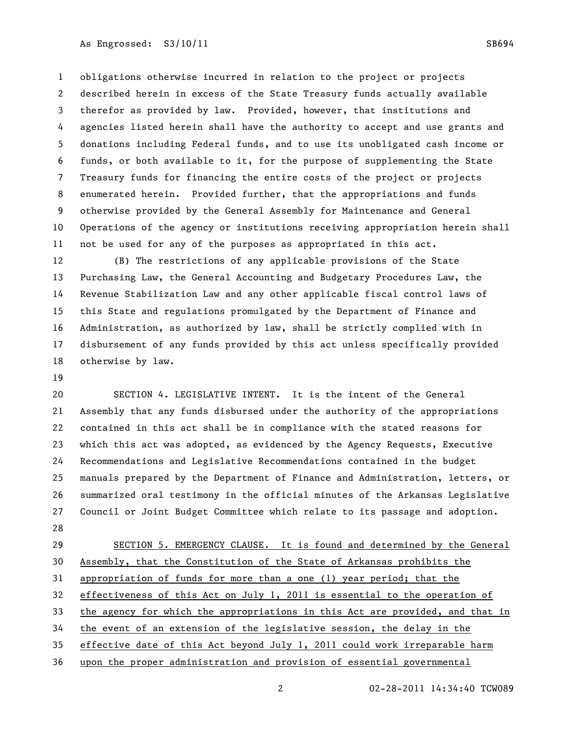As Engrossed: S3/10/11 SB694

 obligations otherwise incurred in relation to the project or projects described herein in excess of the State Treasury funds actually available therefor as provided by law. Provided, however, that institutions and agencies listed herein shall have the authority to accept and use grants and donations including Federal funds, and to use its unobligated cash income or funds, or both available to it, for the purpose of supplementing the State Treasury funds for financing the entire costs of the project or projects enumerated herein. Provided further, that the appropriations and funds otherwise provided by the General Assembly for Maintenance and General Operations of the agency or institutions receiving appropriation herein shall not be used for any of the purposes as appropriated in this act.

 (B) The restrictions of any applicable provisions of the State Purchasing Law, the General Accounting and Budgetary Procedures Law, the Revenue Stabilization Law and any other applicable fiscal control laws of this State and regulations promulgated by the Department of Finance and Administration, as authorized by law, shall be strictly complied with in disbursement of any funds provided by this act unless specifically provided otherwise by law.

 SECTION 4. LEGISLATIVE INTENT. It is the intent of the General Assembly that any funds disbursed under the authority of the appropriations contained in this act shall be in compliance with the stated reasons for which this act was adopted, as evidenced by the Agency Requests, Executive Recommendations and Legislative Recommendations contained in the budget manuals prepared by the Department of Finance and Administration, letters, or summarized oral testimony in the official minutes of the Arkansas Legislative Council or Joint Budget Committee which relate to its passage and adoption. 

 SECTION 5. EMERGENCY CLAUSE. It is found and determined by the General Assembly, that the Constitution of the State of Arkansas prohibits the appropriation of funds for more than a one (1) year period; that the effectiveness of this Act on July 1, 2011 is essential to the operation of the agency for which the appropriations in this Act are provided, and that in the event of an extension of the legislative session, the delay in the effective date of this Act beyond July 1, 2011 could work irreparable harm upon the proper administration and provision of essential governmental

02-28-2011 14:34:40 TCW089